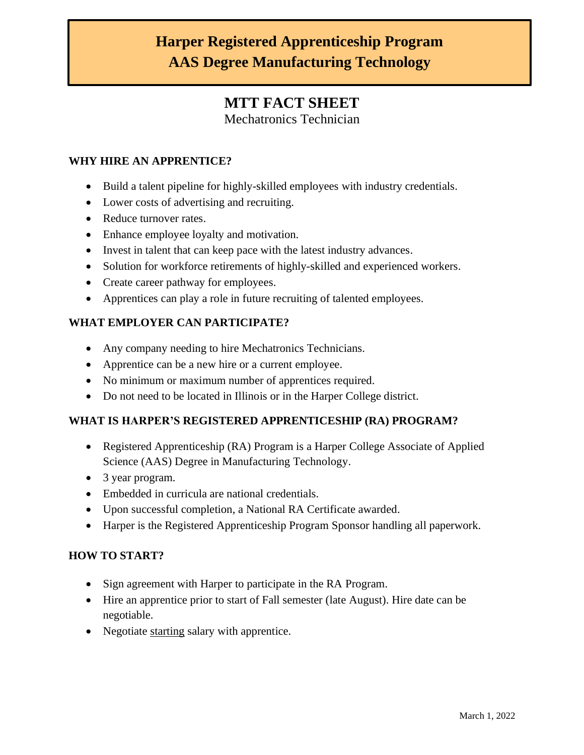# **Harper Registered Apprenticeship Program AAS Degree Manufacturing Technology**

## **MTT FACT SHEET**

Mechatronics Technician

#### **WHY HIRE AN APPRENTICE?**

- Build a talent pipeline for highly-skilled employees with industry credentials.
- Lower costs of advertising and recruiting.
- Reduce turnover rates.
- Enhance employee loyalty and motivation.
- Invest in talent that can keep pace with the latest industry advances.
- Solution for workforce retirements of highly-skilled and experienced workers.
- Create career pathway for employees.
- Apprentices can play a role in future recruiting of talented employees.

#### **WHAT EMPLOYER CAN PARTICIPATE?**

- Any company needing to hire Mechatronics Technicians.
- Apprentice can be a new hire or a current employee.
- No minimum or maximum number of apprentices required.
- Do not need to be located in Illinois or in the Harper College district.

#### **WHAT IS HARPER'S REGISTERED APPRENTICESHIP (RA) PROGRAM?**

- Registered Apprenticeship (RA) Program is a Harper College Associate of Applied Science (AAS) Degree in Manufacturing Technology.
- 3 year program.
- Embedded in curricula are national credentials.
- Upon successful completion, a National RA Certificate awarded.
- Harper is the Registered Apprenticeship Program Sponsor handling all paperwork.

#### **HOW TO START?**

- Sign agreement with Harper to participate in the RA Program.
- Hire an apprentice prior to start of Fall semester (late August). Hire date can be negotiable.
- Negotiate starting salary with apprentice.